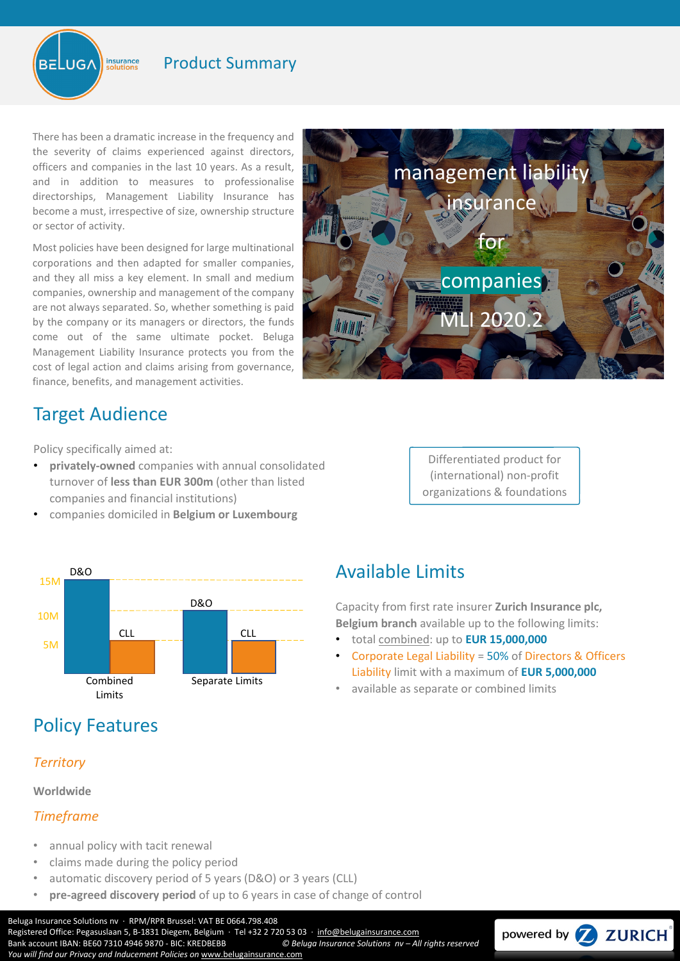

### Product Summary

There has been a dramatic increase in the frequency and the severity of claims experienced against directors, officers and companies in the last 10 years. As a result, and in addition to measures to professionalise directorships, Management Liability Insurance has become a must, irrespective of size, ownership structure or sector of activity.

Most policies have been designed for large multinational corporations and then adapted for smaller companies, and they all miss a key element. In small and medium companies, ownership and management of the company are not always separated. So, whether something is paid by the company or its managers or directors, the funds come out of the same ultimate pocket. Beluga Management Liability Insurance protects you from the cost of legal action and claims arising from governance, finance, benefits, and management activities.



# Target Audience

Policy specifically aimed at:

- **privately-owned** companies with annual consolidated turnover of **less than EUR 300m** (other than listed companies and financial institutions)
- companies domiciled in **Belgium or Luxembourg**

Differentiated product for (international) non-profit organizations & foundations



# Policy Features

### *Territory*

#### **Worldwide**

### *Timeframe*

- annual policy with tacit renewal
- claims made during the policy period
- automatic discovery period of 5 years (D&O) or 3 years (CLL)
- **pre-agreed discovery period** of up to 6 years in case of change of control

Beluga Insurance Solutions nv · RPM/RPR Brussel: VAT BE 0664.798.408 Registered Office: Pegasuslaan 5, B-1831 Diegem, Belgium · Tel +32 2 720 53 03 · [info@belugainsurance.com](mailto:info@belugainsurance.com) Bank account IBAN: BE60 7310 4946 9870 - BIC: KREDBEBB *© Beluga Insurance Solutions nv – All rights reserved You will find our Privacy and Inducement Policies on* [www.belugainsurance.com](http://www.belugainsurance.com/)



Capacity from first rate insurer **Zurich Insurance plc, Belgium branch** available up to the following limits:

- total combined: up to **EUR 15,000,000**
- Corporate Legal Liability = 50% of Directors & Officers Liability limit with a maximum of **EUR 5,000,000**
- available as separate or combined limits

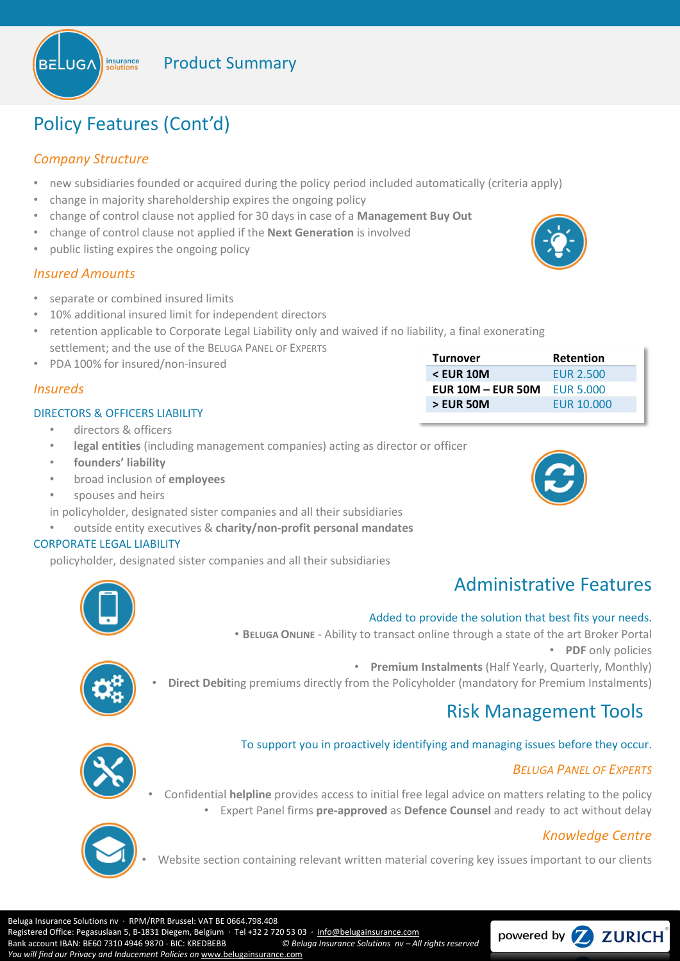

insurance<br>solutions

### *Company Structure*

**UGA** 

- new subsidiaries founded or acquired during the policy period included automatically (criteria apply)
- change in majority shareholdership expires the ongoing policy
- change of control clause not applied for 30 days in case of a **Management Buy Out**
- change of control clause not applied if the **Next Generation** is involved
- public listing expires the ongoing policy

### *Insured Amounts*

- separate or combined insured limits
- 10% additional insured limit for independent directors
- retention applicable to Corporate Legal Liability only and waived if no liability, a final exonerating settlement; and the use of the BELUGA PANEL OF EXPERTS
- PDA 100% for insured/non-insured

### *Insureds*

### DIRECTORS & OFFICERS LIABILITY

- directors & officers
- **legal entities** (including management companies) acting as director or officer
- **founders' liability**
- broad inclusion of **employees**
- spouses and heirs
- in policyholder, designated sister companies and all their subsidiaries
- outside entity executives & **charity/non-profit personal mandates**

### CORPORATE LEGAL LIABILITY

policyholder, designated sister companies and all their subsidiaries



# Added to provide the solution that best fits your needs.

Administrative Features

• **BELUGA ONLINE** - Ability to transact online through a state of the art Broker Portal • **PDF** only policies



• **Premium Instalments** (Half Yearly, Quarterly, Monthly) • **Direct Debit**ing premiums directly from the Policyholder (mandatory for Premium Instalments)

## Risk Management Tools

### To support you in proactively identifying and managing issues before they occur.

### *BELUGA PANEL OF EXPERTS*

*Knowledge Centre*

- Confidential **helpline** provides access to initial free legal advice on matters relating to the policy • Expert Panel firms **pre-approved** as **Defence Counsel** and ready to act without delay
- 
- Website section containing relevant written material covering key issues important to our clients

Beluga Insurance Solutions nv · RPM/RPR Brussel: VAT BE 0664.798.408 Registered Office: Pegasuslaan 5, B-1831 Diegem, Belgium · Tel +32 2 720 53 03 · [info@belugainsurance.com](mailto:info@belugainsurance.com) Bank account IBAN: BE60 7310 4946 9870 - BIC: KREDBEBB *© Beluga Insurance Solutions nv – All rights reserved You will find our Privacy and Inducement Policies on* [www.belugainsurance.com](http://www.belugainsurance.com/)



| <b>Turnover</b>          | Retention        |
|--------------------------|------------------|
| $<$ EUR 10M              | <b>EUR 2.500</b> |
| <b>EUR 10M - EUR 50M</b> | EUR 5,000        |
| > EUR 50M                | EUR 10,000       |
|                          |                  |

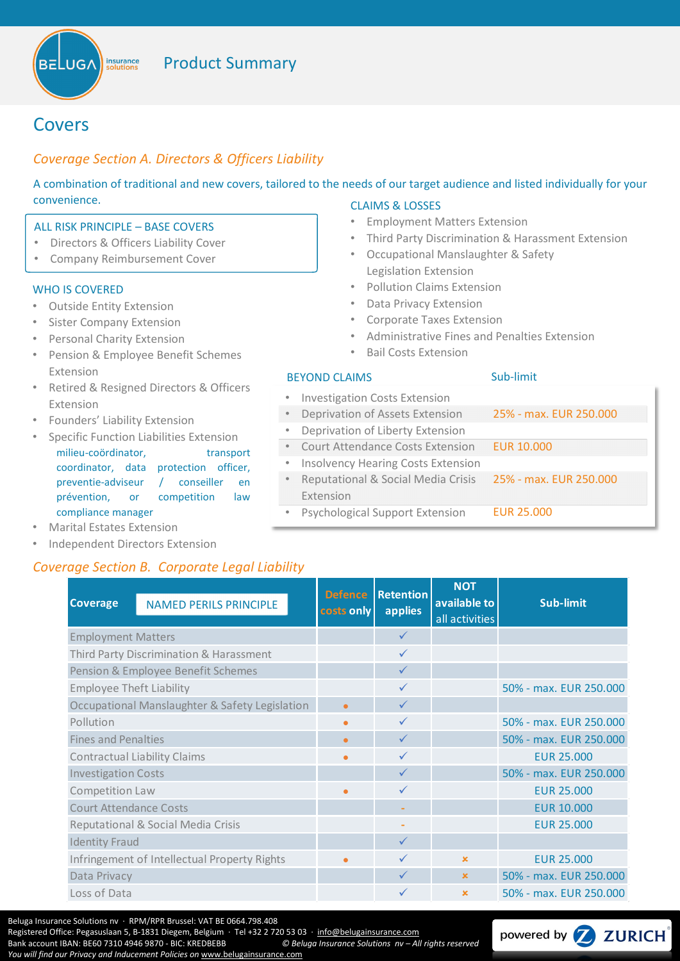

## Covers

## *Coverage Section A. Directors & Officers Liability*

A combination of traditional and new covers, tailored to the needs of our target audience and listed individually for your convenience.

### ALL RISK PRINCIPLE – BASE COVERS

- Directors & Officers Liability Cover
- Company Reimbursement Cover

### WHO IS COVERED

- Outside Entity Extension
- **Sister Company Extension**
- Personal Charity Extension
- Pension & Employee Benefit Schemes Extension
- Retired & Resigned Directors & Officers Extension
- Founders' Liability Extension
- Specific Function Liabilities Extension milieu-coördinator, transport coordinator, data protection officer, preventie-adviseur / conseiller en prévention, or competition law compliance manager
- Marital Estates Extension
- Independent Directors Extension

### *Coverage Section B. Corporate Legal Liability*

#### **Coverage Defence costs only Retention applies NOT available to**  all activities **Sub-limit** Employment Matters Third Party Discrimination & Harassment Pension & Employee Benefit Schemes Employee Theft Liability  $\checkmark$  50% - max. EUR 250.000 Occupational Manslaughter & Safety Legislation • Pollution • 50% - max. EUR 250.000 Fines and Penalties •  $\bullet$  **•**  $\bullet$   $\bullet$  **50% - max. EUR 250.000** Contractual Liability Claims **• EUR 25.000** Investigation Costs 50% - max. EUR 250.000 Competition Law **EUR 25.000** Court Attendance Costs **-** EUR 10.000 Reputational & Social Media Crisis **-** EUR 25.000 Identity Fraud Infringement of Intellectual Property Rights **•**  $\checkmark$  **EUR 25.000** Data Privacy **Data Privacy 1998** - max. EUR 250.000 Loss of Data  $\sim$  50% - max. EUR 250.000 NAMED PERILS PRINCIPLE

Beluga Insurance Solutions nv · RPM/RPR Brussel: VAT BE 0664.798.408 Registered Office: Pegasuslaan 5, B-1831 Diegem, Belgium · Tel +32 2 720 53 03 · [info@belugainsurance.com](mailto:info@belugainsurance.com)<br>Bank account IBAN: BE60 7310 4946 9870 - BIC: KREDBEBB © Beluga Insurance Solutions nv – All rights reserved Bank account IBAN: BE60 7310 4946 9870 - BIC: KREDBEBB *You will find our Privacy and Inducement Policies on* [www.belugainsurance.com](http://www.belugainsurance.com/)

### CLAIMS & LOSSES

- Employment Matters Extension
- Third Party Discrimination & Harassment Extension
- Occupational Manslaughter & Safety Legislation Extension
- Pollution Claims Extension
- Data Privacy Extension
- Corporate Taxes Extension
- Administrative Fines and Penalties Extension
- Bail Costs Extension

#### BEYOND CLAIMS

### Sub-limit

powered by  $\nabla$ 

**ZURICH** 

| <b>Investigation Costs Extension</b>      |                        |
|-------------------------------------------|------------------------|
| Deprivation of Assets Extension           | 25% - max. EUR 250.000 |
| Deprivation of Liberty Extension          |                        |
| <b>Court Attendance Costs Extension</b>   | <b>EUR 10,000</b>      |
| <b>Insolvency Hearing Costs Extension</b> |                        |
| Reputational & Social Media Crisis        | 25% - max. EUR 250.000 |
| Extension                                 |                        |
| <b>Psychological Support Extension</b>    | EUR 25,000             |